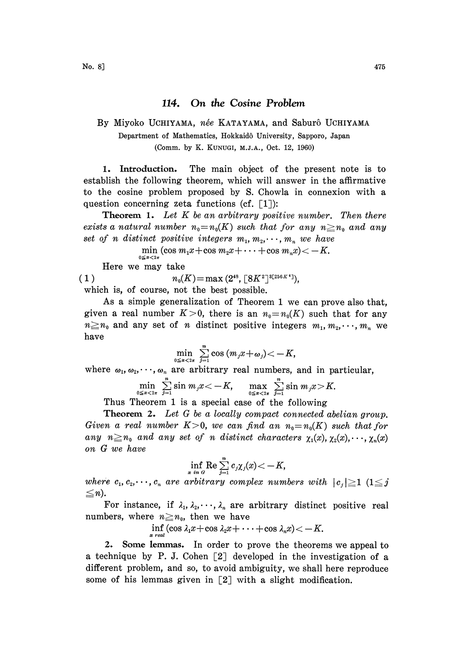## 114. On the Cosine Problem

## By Miyoko UCHIYAMA, née KATAYAMA, and Saburô UCHIYAMA Department of Mathematics, Hokkaidô University, Sapporo, Japan (Comm. by K. KUNUGI, M.J.A., Oct. 12, 1960)

1. Introduction. The main object of the present note is to establish the following theorem, which will answer in the affirmative to the cosine problem proposed by S. Chowla in connexion with a question concerning zeta functions (cf.  $\lceil 1 \rceil$ ):

**Theorem 1.** Let K be an arbitrary positive number. Then there exists a natural number  $n_0=n_0(K)$  such that for any  $n\geq n_0$  and any set of n distinct positive integers  $m_1, m_2, \dots, m_n$  we have

> min  $(\cos m_1x + \cos m_2x + \cdots + \cos m_nx) < -K$ .  $0 \leq x < 2\pi$

Here we may take

( 1 )  $n_0(K) = \max(2^{48}, \lceil 8K^2 \rceil^{3[256K^4]}),$ 

which is, of course, not the best possible.

As a simple generalization of Theorem <sup>1</sup> we can prove also that, given a real number  $K>0$ , there is an  $n_0=n_0(K)$  such that for any  $n \geq n_0$  and any set of n distinct positive integers  $m_1, m_2, \dots, m_n$  we have

$$
\min_{0\leq x<2\pi}\sum_{j=1}^n\cos{(m_jx+\omega_j)}<-K,
$$

where  $\omega_1, \omega_2, \dots, \omega_n$  are arbitrary real numbers, and in particular,

$$
\min_{0\leq x<2\pi}\sum_{j=1}^n\sin\,m_jx<-K,\quad \max_{0\leq x<2\pi}\sum_{j=1}^n\sin\,m_jx>K.
$$

Thus Theorem 1 is a special case of the following

Theorem 2. Let G be a locally compact connected abelian group. Given a real number  $K>0$ , we can find an  $n_0=n_0(K)$  such that for any  $n \geq n_0$  and any set of n distinct characters  $\chi_1(x), \chi_2(x), \dots, \chi_n(x)$ on G we have

$$
\inf_{x \text{ in } G} \operatorname{Re} \sum_{j=1}^n c_j \chi_j(x) \!<\! -K,
$$

where  $c_1, c_2, \dots, c_n$  are arbitrary complex numbers with  $|c_j|\geq 1$   $(1\leq j)$  $\leq n$ ).

For instance, if  $\lambda_1, \lambda_2, \dots, \lambda_n$  are arbitrary distinct positive real numbers, where  $n \geq n_0$ , then we have

 $\inf_{x \text{ real}} (\cos \lambda_1 x + \cos \lambda_2 x + \cdots + \cos \lambda_n x) < -K.$ 

2. Some lemmas. In order to prove the theorems we appeal to a technique by P. J. Cohen [2] developed in the investigation of a different problem, and so, to avoid ambiguity, we shall here reproduce some of his lemmas given in  $\lceil 2 \rceil$  with a slight modification.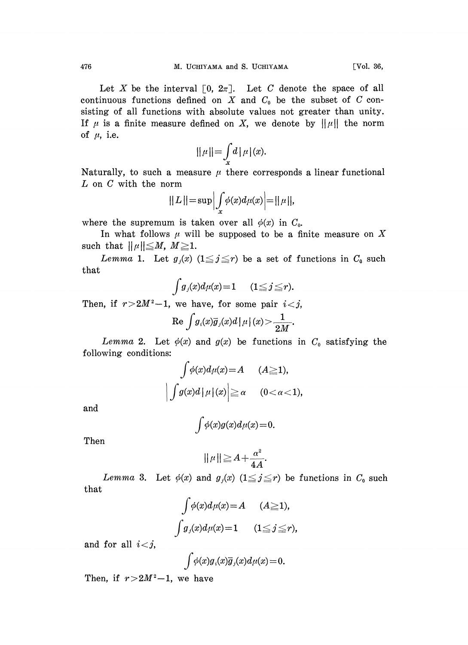Let X be the interval  $\lceil 0, 2\pi \rceil$ . Let C denote the space of all continuous functions defined on  $X$  and  $C_0$  be the subset of  $C$  consisting of all functions with absolute values not greater than unity. If  $\mu$  is a finite measure defined on X, we denote by  $||\mu||$  the norm of  $\mu$ , i.e.

$$
\|\mu\| = \int\limits_x d\,|\,\mu\,|(x).
$$

Naturally, to such a measure  $\mu$  there corresponds a linear functional L on C with the norm

$$
||L|| = \sup \Big| \int_x \phi(x) d\mu(x) \Big| = ||\mu||,
$$

where the supremum is taken over all  $\phi(x)$  in  $C_0$ .

In what follows  $\mu$  will be supposed to be a finite measure on X such that  $\|\mu\|\leq M, M\geq 1$ .

Lemma 1. Let  $g_j(x)$   $(1 \leq j \leq r)$  be a set of functions in  $C_0$  such that

$$
\int g_j(x)d\mu(x)=1 \qquad (1\leq j\leq r).
$$

Then, if  $r>2M^2-1$ , we have, for some pair  $i < j$ ,

$$
\mathrm{Re}\,\int g_{\imath}(x)\overline{g}_{\jmath}(x)d\,\big|\,\mu\big|\,(x)\!>\!\frac{1}{2M}.
$$

Lemma 2. Let  $\phi(x)$  and  $g(x)$  be functions in  $C_0$  satisfying the following conditions:

$$
\int \phi(x)d\mu(x) = A \qquad (A \ge 1),
$$
  

$$
\left| \int g(x)d\left| \mu \right|(x) \right| \ge \alpha \qquad (0 < \alpha < 1),
$$

and

$$
\int \phi(x)g(x)d\mu(x) = 0.
$$

Then

$$
\|\mu\| \geq A + \frac{\alpha^2}{4A}.
$$

that Lemma 3. Let  $\phi(x)$  and  $g_j(x)$   $(1 \leq j \leq r)$  be functions in  $C_0$  such

$$
\int \phi(x)d\mu(x) = A \qquad (A \ge 1),
$$
  

$$
\int g_j(x)d\mu(x) = 1 \qquad (1 \le j \le r),
$$

and for all  $i < j$ ,

$$
\int \phi(x) g_i(x) \overline{g}_j(x) d\mu(x) = 0.
$$

Then, if  $r > 2M^2 - 1$ , we have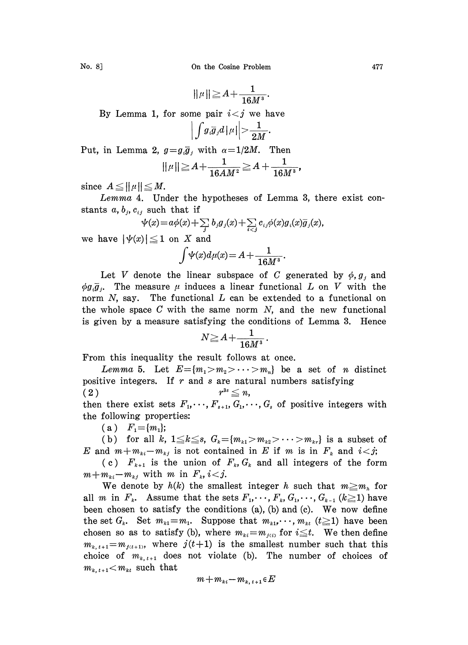No. 8] Conthe Cosine Problem 477

$$
\|\mu\|\!\geq\! A\!+\!\frac{1}{16M^3}.
$$

By Lemma 1, for some pair  $i < j$  we have

$$
\left|\int g_i\overline{g}_j d\left|\,\mu\right|\right|>\frac{1}{2M}
$$

Put, in Lemma 2,  $g = g_i \overline{g}_j$  with  $\alpha = 1/2M$ . Then<br>  $||\mu|| \ge A + \frac{1}{16AM^2} \ge A + \frac{1}{16M}$ <br>
since  $A \le ||\mu|| \le M$ .

$$
||\mu|| \geq A + \frac{1}{16AM^2} \geq A + \frac{1}{16M^3},
$$

since  $A \le ||\mu|| \le M$ .

Lemma 4. Under the hypotheses of Lemma 3, there exist constants a,  $b_j$ ,  $c_{ij}$  such that if

$$
\psi(x) = a\phi(x) + \sum_{j} b_j g_j(x) + \sum_{i < j} c_{ij}\phi(x)g_i(x)\overline{g}_j(x),
$$

we have  $|\psi(x)| \leq 1$  on X and

$$
\int \psi(x)d\mu(x) = A + \frac{1}{16M^3}.
$$

Let V denote the linear subspace of C generated by  $\phi$ ,  $g_j$  and  $\phi g_i \overline{g}_i$ . The measure  $\mu$  induces a linear functional L on V with the norm  $N$ , say. The functional  $L$  can be extended to a functional on the whole space  $C$  with the same norm  $N$ , and the new functional is given by a measure satisfying the eonditions of Lemma 8. Henee

$$
N\!\geq\!A+\frac{1}{16M^3}.
$$

From this inequality the result follows at once.

Lemma 5. Let  $E=[m_1>m_2>\cdots>m_n]$  be a set of *n* distinct positive integers. If  $r$  and  $s$  are natural numbers satisfying  $r^{3s} \leq n$ , (2) then there exist sets  $F_1, \dots, F_{s+1}, G_1, \dots, G_s$  of positive integers with the following properties:

(a)  $F_1 = \{m_1\};$ 

(b) for all k,  $1 \le k \le s$ ,  $G_k = \{m_{k1} > m_{k2} > \cdots > m_{kr}\}\$ is a subset of E and  $m+m_{ki}-m_{kj}$  is not contained in E if m is in  $F_k$  and  $i < j$ ;

(c)  $F_{k+1}$  is the union of  $F_k, G_k$  and all integers of the form  $m+m_{ki}-m_{kj}$  with m in  $F_k$ ,  $i < j$ .

We denote by  $h(k)$  the smallest integer h such that  $m \geq m_h$  for all m in  $F_k$ . Assume that the sets  $F_1, \dots, F_k, G_1, \dots, G_{k-1}$  ( $k \ge 1$ ) have been chosen to satisfy the conditions  $(a)$ ,  $(b)$  and  $(c)$ . We now define the set  $G_k$ . Set  $m_{k1} = m_1$ . Suppose that  $m_{k1}, \dots, m_{k}$  ( $t \ge 1$ ) have been chosen so as to satisfy (b), where  $m_{ki} = m_{j(i)}$  for  $i \leq t$ . We then define  $m_{k,t+1}=m_{j(t+1)}$ , where  $j(t+1)$  is the smallest number such that this choice of  $m_{k,t+1}$  does not violate (b). The number of choices of  $m_{k, t+1} < m_{kt}$  such that

$$
m+m_{\scriptscriptstyle ki}-m_{\scriptscriptstyle k,\,\scriptscriptstyle t+1}\!\in\!E
$$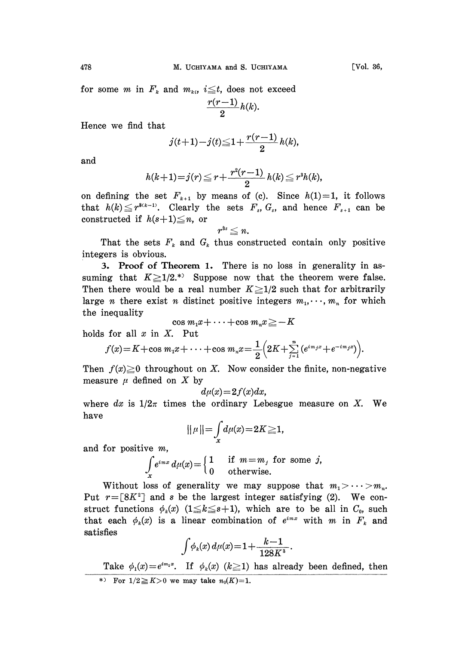for some *m* in  $F_k$  and  $m_{ki}$ ,  $i \leq t$ , does not exceed

$$
\frac{r(r-1)}{2}h(k).
$$

Hence we find that

$$
j(t+1)-j(t) \leq 1 + \frac{r(r-1)}{2} h(k),
$$

and

$$
h(k+1)=j(r)\leqq r+\frac{r^2(r-1)}{2}\,h(k)\leqq r^3h(k),
$$

on defining the set  $F_{k+1}$  by means of (c). Since  $h(1)=1$ , it follows that  $h(k) \leq r^{8(k-1)}$ . Clearly the sets  $F_s$ ,  $G_s$ , and hence  $F_{s+1}$  can be constructed if  $h(s+1) \leq n$ , or  $r^{3s} \leq n$ . constructed if  $h(s+1) \leq n$ , or

$$
r^{\text{s}_s} \leqq n.
$$

That the sets  $F_k$  and  $G_k$  thus constructed contain only positive integers is obvious.

. Proof of Theorem 1. There is no loss in generality in assuming that  $K \geq 1/2$ <sup>\*</sup> Suppose now that the theorem were false. Then there would be a real number  $K \geq 1/2$  such that for arbitrarily large *n* there exist *n* distinct positive integers  $m_1, \dots, m_n$  for which the inequality

 $\cos m_1x + \cdots + \cos m_nx \geq -K$ holds for all  $x$  in  $X$ . Put

$$
f(x) = K + \cos m_1 x + \cdots + \cos m_n x = \frac{1}{2} \left( 2K + \sum_{j=1}^n \left( e^{i m_j x} + e^{-i m_j x} \right) \right).
$$

Then  $f(x) \ge 0$  throughout on X. Now consider the finite, non-negative measure  $\mu$  defined on X by

$$
d\mu(x) = 2f(x)dx,
$$

where dx is  $1/2\pi$  times the ordinary Lebesgue measure on X. We have

$$
\|\mu\|{=}\int_{x}d\mu(x){=}2K{\geq}1
$$

and for positive m,

We 
$$
m
$$
,  
\n
$$
\int_{x} e^{imx} d\mu(x) = \begin{cases} 1 & \text{if } m = m_j \text{ for some } j, \\ 0 & \text{otherwise.} \end{cases}
$$

Without loss of generality we may suppose that  $m_1 > \cdots > m_n$ . Put  $r=[8K^2]$  and s be the largest integer satisfying (2). We construct functions  $\phi_k(x)$  (1 $\leq k \leq s+1$ ), which are to be all in  $C_0$ , such that each  $\phi_k(x)$  is a linear combination of  $e^{imx}$  with m in  $F_k$  and satisfies

$$
\int \phi_k(x) \, d\mu(x) = 1 + \frac{k-1}{128K^3}
$$

Take  $\phi_1(x)=e^{im_1x}$ . If  $\phi_k(x)$  ( $k\geq 1$ ) has already been defined, then \*) For  $1/2 \geq K>0$  we may take  $n_0(K)=1$ .